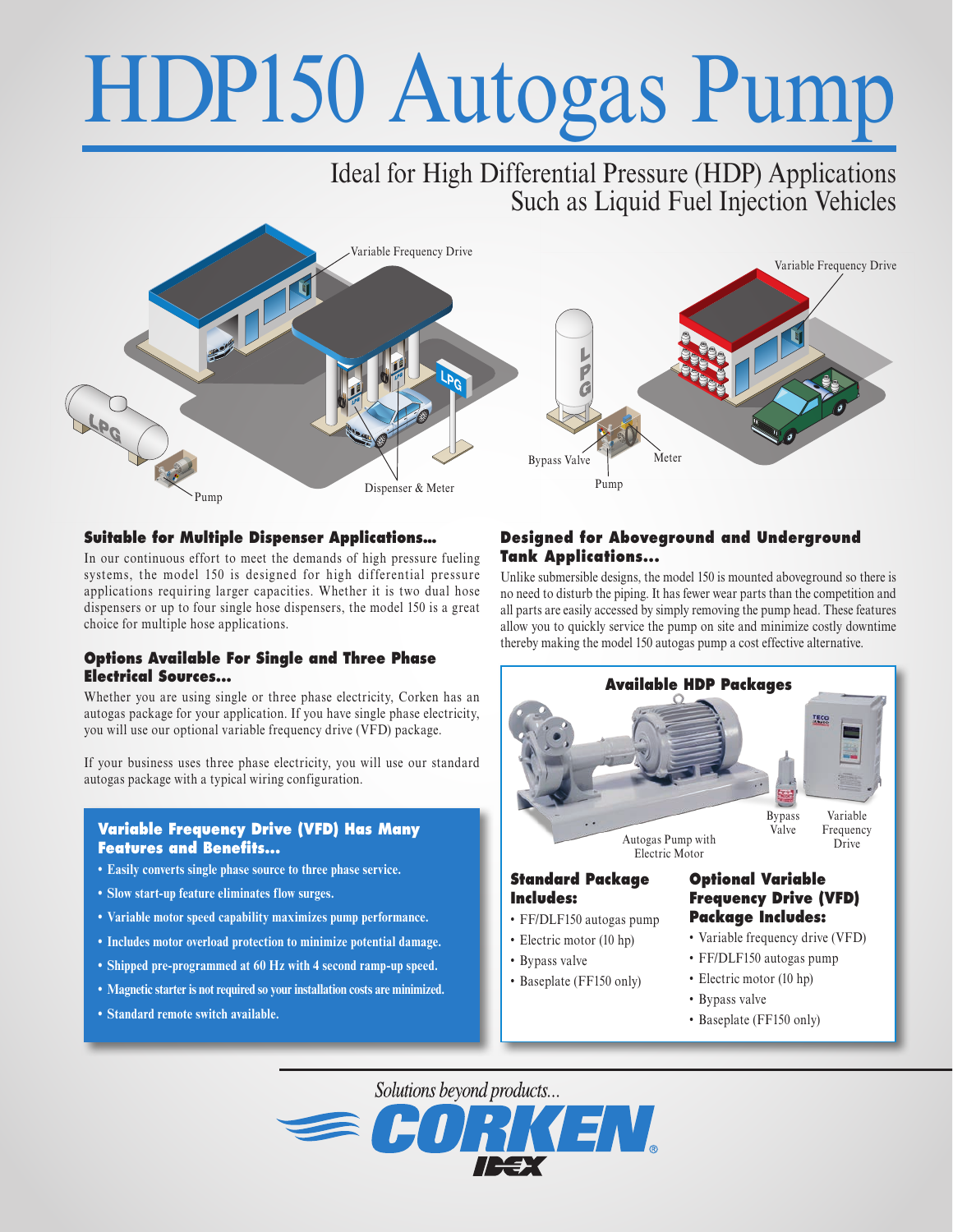# HDP150 Autogas Pump

# Ideal for High Differential Pressure (HDP) Applications Such as Liquid Fuel Injection Vehicles



### **Suitable for Multiple Dispenser Applications…**

In our continuous effort to meet the demands of high pressure fueling systems, the model 150 is designed for high differential pressure applications requiring larger capacities. Whether it is two dual hose dispensers or up to four single hose dispensers, the model 150 is a great choice for multiple hose applications.

### **Options Available For Single and Three Phase Electrical Sources...**

Whether you are using single or three phase electricity, Corken has an autogas package for your application. If you have single phase electricity, you will use our optional variable frequency drive (VFD) package.

If your business uses three phase electricity, you will use our standard autogas package with a typical wiring configuration.

### **Variable Frequency Drive (VFD) Has Many Features and Benefits...**

- **• Easily converts single phase source to three phase service.**
- **• Slow start-up feature eliminates flow surges.**
- **• Variable motor speed capability maximizes pump performance.**
- **• Includes motor overload protection to minimize potential damage.**
- **• Shipped pre-programmed at 60 Hz with 4 second ramp-up speed.**
- **• Magnetic starter is not required so your installation costs are minimized.**
- **• Standard remote switch available.**

#### **Designed for Aboveground and Underground Tank Applications...**

Unlike submersible designs, the model 150 is mounted aboveground so there is no need to disturb the piping. It has fewer wear parts than the competition and all parts are easily accessed by simply removing the pump head. These features allow you to quickly service the pump on site and minimize costly downtime thereby making the model 150 autogas pump a cost effective alternative.



- Bypass valve
	- Baseplate (FF150 only)

Solutions beyond products...